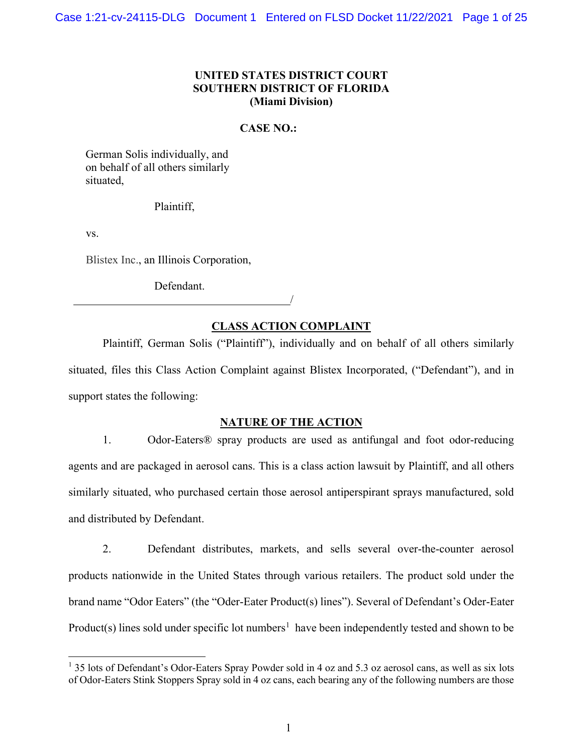## **UNITED STATES DISTRICT COURT SOUTHERN DISTRICT OF FLORIDA (Miami Division)**

#### **CASE NO.:**

German Solis individually, and on behalf of all others similarly situated,

#### Plaintiff,

vs.

Blistex Inc., an Illinois Corporation,

Defendant.

# **CLASS ACTION COMPLAINT**

/

Plaintiff, German Solis ("Plaintiff"), individually and on behalf of all others similarly situated, files this Class Action Complaint against Blistex Incorporated, ("Defendant"), and in support states the following:

#### **NATURE OF THE ACTION**

1. Odor-Eaters® spray products are used as antifungal and foot odor-reducing agents and are packaged in aerosol cans. This is a class action lawsuit by Plaintiff, and all others similarly situated, who purchased certain those aerosol antiperspirant sprays manufactured, sold and distributed by Defendant.

2. Defendant distributes, markets, and sells several over-the-counter aerosol products nationwide in the United States through various retailers. The product sold under the brand name "Odor Eaters" (the "Oder-Eater Product(s) lines"). Several of Defendant's Oder-Eater Product(s) lines sold under specific lot numbers<sup>[1](#page-0-0)</sup> have been independently tested and shown to be

<span id="page-0-0"></span> $1$  35 lots of Defendant's Odor-Eaters Spray Powder sold in 4 oz and 5.3 oz aerosol cans, as well as six lots of Odor-Eaters Stink Stoppers Spray sold in 4 oz cans, each bearing any of the following numbers are those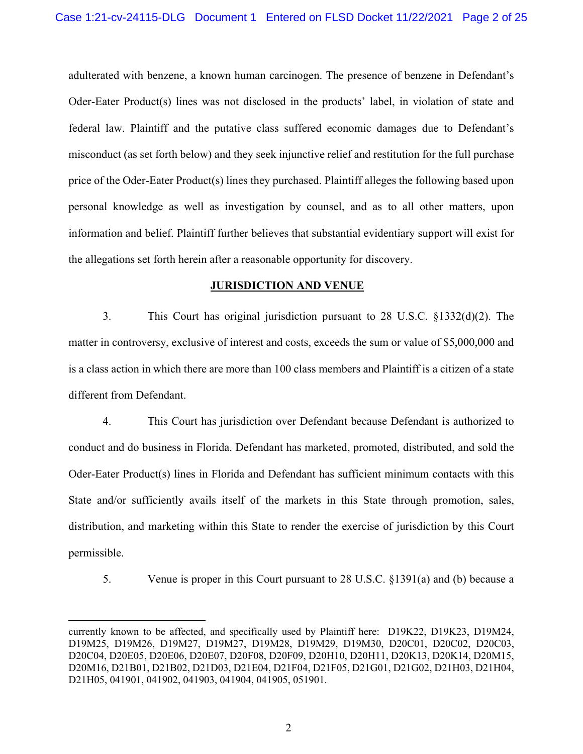adulterated with benzene, a known human carcinogen. The presence of benzene in Defendant's Oder-Eater Product(s) lines was not disclosed in the products' label, in violation of state and federal law. Plaintiff and the putative class suffered economic damages due to Defendant's misconduct (as set forth below) and they seek injunctive relief and restitution for the full purchase price of the Oder-Eater Product(s) lines they purchased. Plaintiff alleges the following based upon personal knowledge as well as investigation by counsel, and as to all other matters, upon information and belief. Plaintiff further believes that substantial evidentiary support will exist for the allegations set forth herein after a reasonable opportunity for discovery.

#### **JURISDICTION AND VENUE**

3. This Court has original jurisdiction pursuant to 28 U.S.C. §1332(d)(2). The matter in controversy, exclusive of interest and costs, exceeds the sum or value of \$5,000,000 and is a class action in which there are more than 100 class members and Plaintiff is a citizen of a state different from Defendant.

4. This Court has jurisdiction over Defendant because Defendant is authorized to conduct and do business in Florida. Defendant has marketed, promoted, distributed, and sold the Oder-Eater Product(s) lines in Florida and Defendant has sufficient minimum contacts with this State and/or sufficiently avails itself of the markets in this State through promotion, sales, distribution, and marketing within this State to render the exercise of jurisdiction by this Court permissible.

5. Venue is proper in this Court pursuant to 28 U.S.C. §1391(a) and (b) because a

currently known to be affected, and specifically used by Plaintiff here: D19K22, D19K23, D19M24, D19M25, D19M26, D19M27, D19M27, D19M28, D19M29, D19M30, D20C01, D20C02, D20C03, D20C04, D20E05, D20E06, D20E07, D20F08, D20F09, D20H10, D20H11, D20K13, D20K14, D20M15, D20M16, D21B01, D21B02, D21D03, D21E04, D21F04, D21F05, D21G01, D21G02, D21H03, D21H04, D21H05, 041901, 041902, 041903, 041904, 041905, 051901.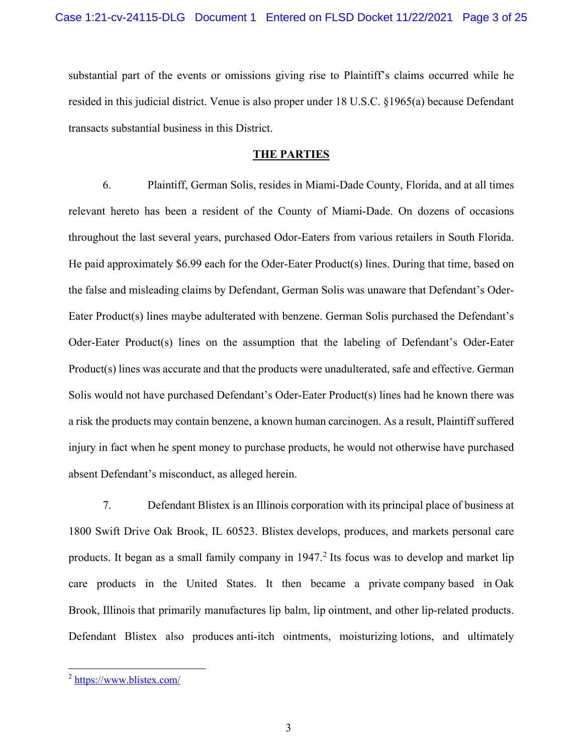substantial part of the events or omissions giving rise to Plaintiff's claims occurred while he resided in this judicial district. Venue is also proper under 18 U.S.C. §1965(a) because Defendant transacts substantial business in this District.

## **THE PARTIES**

6. Plaintiff, German Solis, resides in Miami-Dade County, Florida, and at all times relevant hereto has been a resident of the County of Miami-Dade. On dozens of occasions throughout the last several years, purchased Odor-Eaters from various retailers in South Florida. He paid approximately \$6.99 each for the Oder-Eater Product(s) lines. During that time, based on the false and misleading claims by Defendant, German Solis was unaware that Defendant's Oder-Eater Product(s) lines maybe adulterated with benzene. German Solis purchased the Defendant's Oder-Eater Product(s) lines on the assumption that the labeling of Defendant's Oder-Eater Product(s) lines was accurate and that the products were unadulterated, safe and effective. German Solis would not have purchased Defendant's Oder-Eater Product(s) lines had he known there was a risk the products may contain benzene, a known human carcinogen. As a result, Plaintiff suffered injury in fact when he spent money to purchase products, he would not otherwise have purchased absent Defendant's misconduct, as alleged herein.

7. Defendant Blistex is an Illinois corporation with its principal place of business at 1800 Swift Drive Oak Brook, IL 60523. Blistex develops, produces, and markets personal care products. It began as a small family company in  $1947<sup>2</sup>$  $1947<sup>2</sup>$  $1947<sup>2</sup>$  Its focus was to develop and market lip care products in the United States. It then became a private company based in Oak Brook, Illinois that primarily manufactures lip balm, lip ointment, and other lip-related products. Defendant Blistex also produces anti-itch ointments, moisturizing lotions, and ultimately

<span id="page-2-0"></span><sup>2</sup> <https://www.blistex.com/>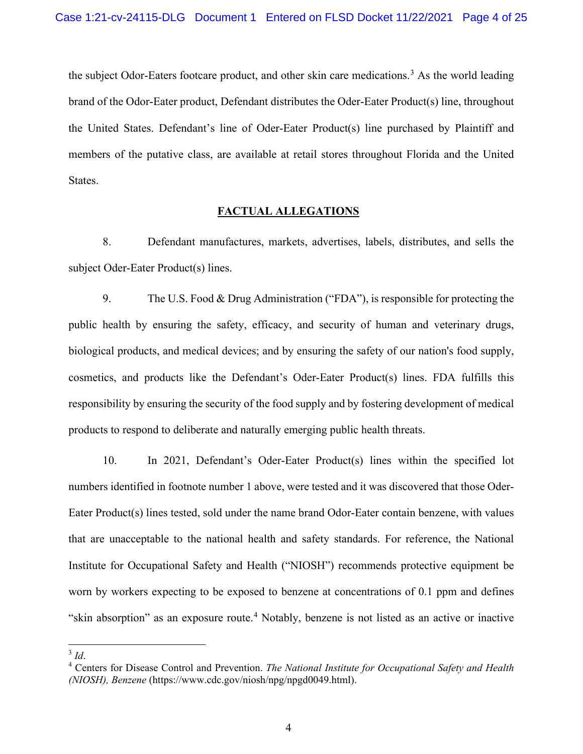the subject Odor-Eaters footcare product, and other skin care medications.<sup>[3](#page-3-0)</sup> As the world leading brand of the Odor-Eater product, Defendant distributes the Oder-Eater Product(s) line, throughout the United States. Defendant's line of Oder-Eater Product(s) line purchased by Plaintiff and members of the putative class, are available at retail stores throughout Florida and the United States.

#### **FACTUAL ALLEGATIONS**

8. Defendant manufactures, markets, advertises, labels, distributes, and sells the subject Oder-Eater Product(s) lines.

9. The U.S. Food & Drug Administration ("FDA"), is responsible for protecting the public health by ensuring the safety, efficacy, and security of human and veterinary drugs, biological products, and medical devices; and by ensuring the safety of our nation's food supply, cosmetics, and products like the Defendant's Oder-Eater Product(s) lines. FDA fulfills this responsibility by ensuring the security of the food supply and by fostering development of medical products to respond to deliberate and naturally emerging public health threats.

10. In 2021, Defendant's Oder-Eater Product(s) lines within the specified lot numbers identified in footnote number 1 above, were tested and it was discovered that those Oder-Eater Product(s) lines tested, sold under the name brand Odor-Eater contain benzene, with values that are unacceptable to the national health and safety standards. For reference, the National Institute for Occupational Safety and Health ("NIOSH") recommends protective equipment be worn by workers expecting to be exposed to benzene at concentrations of 0.1 ppm and defines "skin absorption" as an exposure route.<sup>[4](#page-3-1)</sup> Notably, benzene is not listed as an active or inactive

<span id="page-3-1"></span><span id="page-3-0"></span><sup>&</sup>lt;sup>3</sup> *Id.* 4 Centers for Disease Control and Prevention. *The National Institute for Occupational Safety and Health* <sup>4</sup> *(NIOSH), Benzene* (https://www.cdc.gov/niosh/npg/npgd0049.html).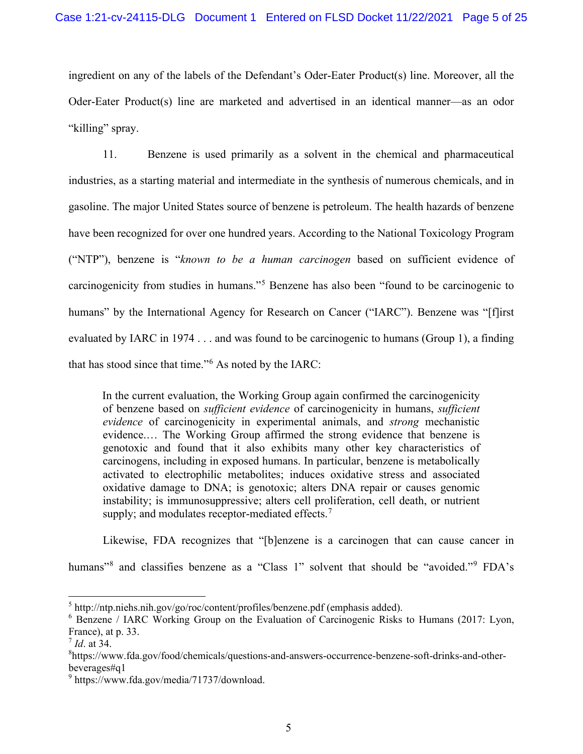ingredient on any of the labels of the Defendant's Oder-Eater Product(s) line. Moreover, all the Oder-Eater Product(s) line are marketed and advertised in an identical manner—as an odor "killing" spray.

11. Benzene is used primarily as a solvent in the chemical and pharmaceutical industries, as a starting material and intermediate in the synthesis of numerous chemicals, and in gasoline. The major United States source of benzene is petroleum. The health hazards of benzene have been recognized for over one hundred years. According to the National Toxicology Program ("NTP"), benzene is "*known to be a human carcinogen* based on sufficient evidence of carcinogenicity from studies in humans."[5](#page-4-0) Benzene has also been "found to be carcinogenic to humans" by the International Agency for Research on Cancer ("IARC"). Benzene was "[f]irst evaluated by IARC in 1974 . . . and was found to be carcinogenic to humans (Group 1), a finding that has stood since that time."[6](#page-4-1) As noted by the IARC:

In the current evaluation, the Working Group again confirmed the carcinogenicity of benzene based on *sufficient evidence* of carcinogenicity in humans, *sufficient evidence* of carcinogenicity in experimental animals, and *strong* mechanistic evidence.… The Working Group affirmed the strong evidence that benzene is genotoxic and found that it also exhibits many other key characteristics of carcinogens, including in exposed humans. In particular, benzene is metabolically activated to electrophilic metabolites; induces oxidative stress and associated oxidative damage to DNA; is genotoxic; alters DNA repair or causes genomic instability; is immunosuppressive; alters cell proliferation, cell death, or nutrient supply; and modulates receptor-mediated effects. $<sup>7</sup>$  $<sup>7</sup>$  $<sup>7</sup>$ </sup>

Likewise, FDA recognizes that "[b]enzene is a carcinogen that can cause cancer in

humans"<sup>[8](#page-4-3)</sup> and classifies benzene as a "Class 1" solvent that should be "avoided."<sup>[9](#page-4-4)</sup> FDA's

<span id="page-4-0"></span> $5$  http://ntp.niehs.nih.gov/go/roc/content/profiles/benzene.pdf (emphasis added).

<span id="page-4-1"></span><sup>&</sup>lt;sup>6</sup> Benzene / IARC Working Group on the Evaluation of Carcinogenic Risks to Humans (2017: Lyon, France), at p. 33.

<span id="page-4-2"></span><sup>7</sup> *Id*. at 34.

<span id="page-4-3"></span><sup>8</sup> https://www.fda.gov/food/chemicals/questions-and-answers-occurrence-benzene-soft-drinks-and-otherbeverages#q1

<span id="page-4-4"></span><sup>9</sup> https://www.fda.gov/media/71737/download.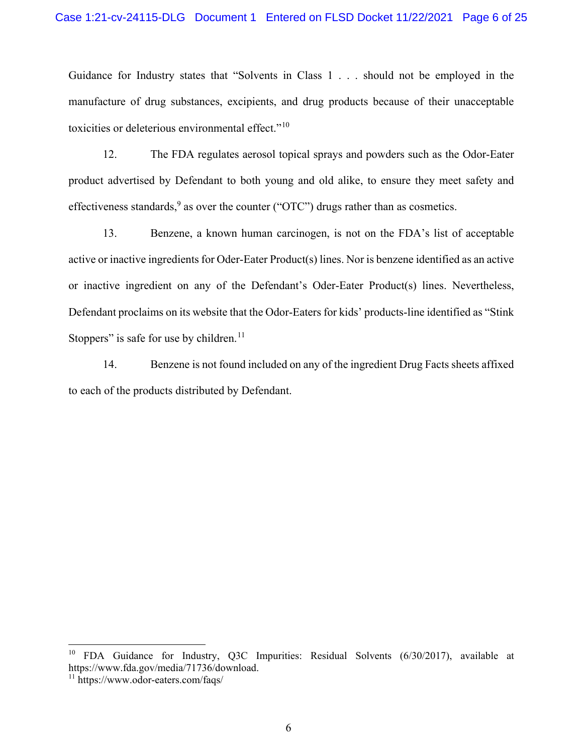Guidance for Industry states that "Solvents in Class 1 . . . should not be employed in the manufacture of drug substances, excipients, and drug products because of their unacceptable toxicities or deleterious environmental effect."<sup>[10](#page-5-0)</sup>

12. The FDA regulates aerosol topical sprays and powders such as the Odor-Eater product advertised by Defendant to both young and old alike, to ensure they meet safety and effectiveness standards,  $9$  as over the counter ("OTC") drugs rather than as cosmetics.

13. Benzene, a known human carcinogen, is not on the FDA's list of acceptable active or inactive ingredients for Oder-Eater Product(s) lines. Nor is benzene identified as an active or inactive ingredient on any of the Defendant's Oder-Eater Product(s) lines. Nevertheless, Defendant proclaims on its website that the Odor-Eaters for kids' products-line identified as "Stink Stoppers" is safe for use by children.<sup>[11](#page-5-1)</sup>

14. Benzene is not found included on any of the ingredient Drug Facts sheets affixed to each of the products distributed by Defendant.

<span id="page-5-0"></span><sup>&</sup>lt;sup>10</sup> FDA Guidance for Industry, Q3C Impurities: Residual Solvents (6/30/2017), available at https://www.fda.gov/media/71736/download.

<span id="page-5-1"></span><sup>11</sup> https://www.odor-eaters.com/faqs/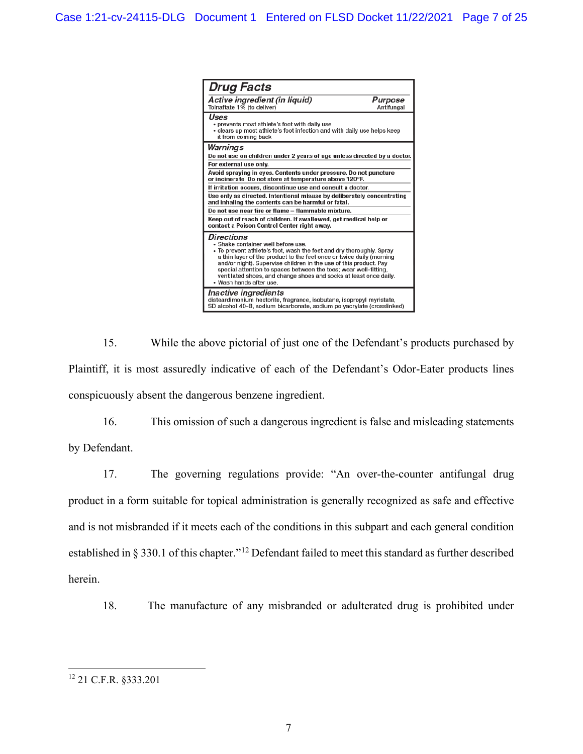

15. While the above pictorial of just one of the Defendant's products purchased by Plaintiff, it is most assuredly indicative of each of the Defendant's Odor-Eater products lines conspicuously absent the dangerous benzene ingredient.

16. This omission of such a dangerous ingredient is false and misleading statements by Defendant.

17. The governing regulations provide: "An over-the-counter antifungal drug product in a form suitable for topical administration is generally recognized as safe and effective and is not misbranded if it meets each of the conditions in this subpart and each general condition established in § 330.1 of this chapter."[12](#page-6-0) Defendant failed to meet this standard as further described herein.

18. The manufacture of any misbranded or adulterated drug is prohibited under

<span id="page-6-0"></span><sup>12</sup> 21 C.F.R. §333.201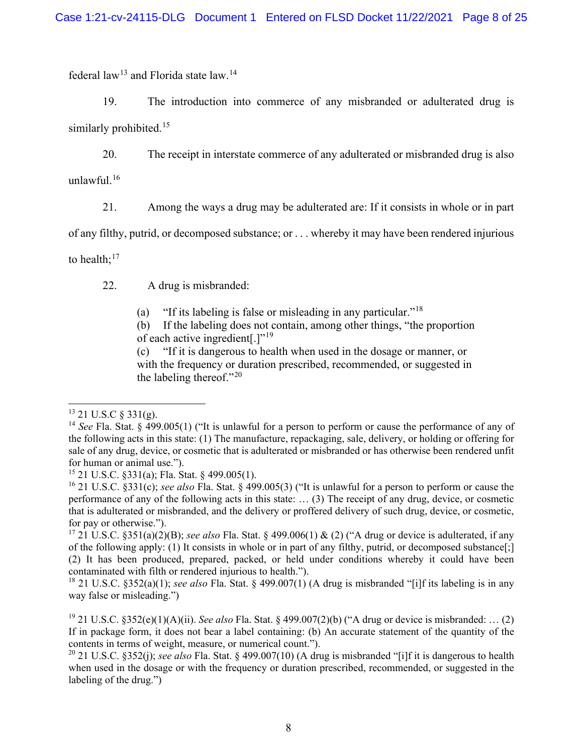federal law[13](#page-7-0) and Florida state law.[14](#page-7-1)

19. The introduction into commerce of any misbranded or adulterated drug is similarly prohibited.<sup>[15](#page-7-2)</sup>

20. The receipt in interstate commerce of any adulterated or misbranded drug is also unlawful.[16](#page-7-3)

21. Among the ways a drug may be adulterated are: If it consists in whole or in part

of any filthy, putrid, or decomposed substance; or . . . whereby it may have been rendered injurious

to health; $^{17}$  $^{17}$  $^{17}$ 

22. A drug is misbranded:

(a) "If its labeling is false or misleading in any particular."[18](#page-7-5)

(b) If the labeling does not contain, among other things, "the proportion of each active ingredient.]"<sup>[19](#page-7-6)</sup>

(c) "If it is dangerous to health when used in the dosage or manner, or with the frequency or duration prescribed, recommended, or suggested in the labeling thereof."[20](#page-7-7)

<span id="page-7-0"></span> $13$  21 U.S.C  $\frac{13}{21}$  (g).

<span id="page-7-1"></span><sup>14</sup> *See* Fla. Stat. § 499.005(1) ("It is unlawful for a person to perform or cause the performance of any of the following acts in this state: (1) The manufacture, repackaging, sale, delivery, or holding or offering for sale of any drug, device, or cosmetic that is adulterated or misbranded or has otherwise been rendered unfit for human or animal use.").

<span id="page-7-2"></span><sup>15</sup> 21 U.S.C. §331(a); Fla. Stat. § 499.005(1).

<span id="page-7-3"></span><sup>16</sup> 21 U.S.C. §331(c); *see also* Fla. Stat. § 499.005(3) ("It is unlawful for a person to perform or cause the performance of any of the following acts in this state: … (3) The receipt of any drug, device, or cosmetic that is adulterated or misbranded, and the delivery or proffered delivery of such drug, device, or cosmetic, for pay or otherwise.").

<span id="page-7-4"></span><sup>&</sup>lt;sup>17</sup> 21 U.S.C. §351(a)(2)(B); *see also* Fla. Stat. § 499.006(1) & (2) ("A drug or device is adulterated, if any of the following apply: (1) It consists in whole or in part of any filthy, putrid, or decomposed substance[;] (2) It has been produced, prepared, packed, or held under conditions whereby it could have been contaminated with filth or rendered injurious to health.").

<span id="page-7-5"></span><sup>18</sup> 21 U.S.C. §352(a)(1); *see also* Fla. Stat. § 499.007(1) (A drug is misbranded "[i]f its labeling is in any way false or misleading.")

<span id="page-7-6"></span><sup>19</sup> 21 U.S.C. §352(e)(1)(A)(ii). *See also* Fla. Stat. § 499.007(2)(b) ("A drug or device is misbranded: … (2) If in package form, it does not bear a label containing: (b) An accurate statement of the quantity of the contents in terms of weight, measure, or numerical count.").

<span id="page-7-7"></span><sup>20</sup> 21 U.S.C. §352(j); *see also* Fla. Stat. § 499.007(10) (A drug is misbranded "[i]f it is dangerous to health when used in the dosage or with the frequency or duration prescribed, recommended, or suggested in the labeling of the drug.")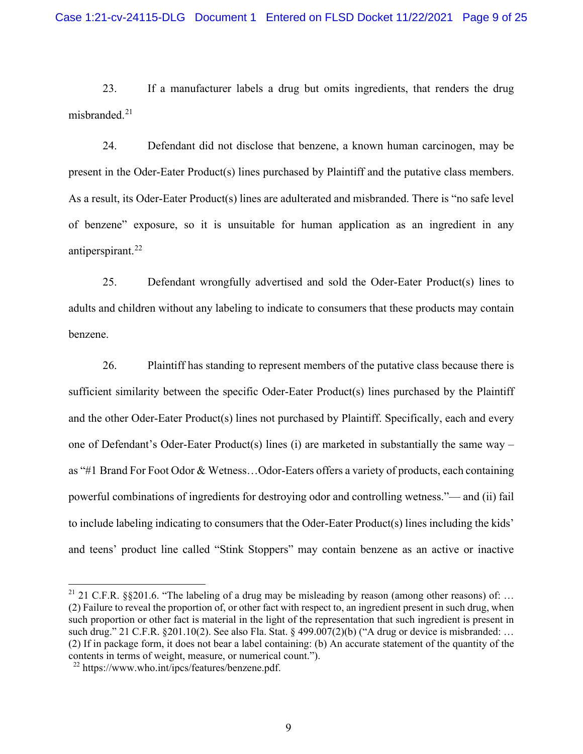23. If a manufacturer labels a drug but omits ingredients, that renders the drug misbranded. $21$ 

24. Defendant did not disclose that benzene, a known human carcinogen, may be present in the Oder-Eater Product(s) lines purchased by Plaintiff and the putative class members. As a result, its Oder-Eater Product(s) lines are adulterated and misbranded. There is "no safe level of benzene" exposure, so it is unsuitable for human application as an ingredient in any antiperspirant.<sup>[22](#page-8-1)</sup>

25. Defendant wrongfully advertised and sold the Oder-Eater Product(s) lines to adults and children without any labeling to indicate to consumers that these products may contain benzene.

26. Plaintiff has standing to represent members of the putative class because there is sufficient similarity between the specific Oder-Eater Product(s) lines purchased by the Plaintiff and the other Oder-Eater Product(s) lines not purchased by Plaintiff. Specifically, each and every one of Defendant's Oder-Eater Product(s) lines (i) are marketed in substantially the same way – as "#1 Brand For Foot Odor & Wetness…Odor-Eaters offers a variety of products, each containing powerful combinations of ingredients for destroying odor and controlling wetness."— and (ii) fail to include labeling indicating to consumers that the Oder-Eater Product(s) lines including the kids' and teens' product line called "Stink Stoppers" may contain benzene as an active or inactive

<span id="page-8-0"></span><sup>&</sup>lt;sup>21</sup> 21 C.F.R. §§201.6. "The labeling of a drug may be misleading by reason (among other reasons) of: ... (2) Failure to reveal the proportion of, or other fact with respect to, an ingredient present in such drug, when such proportion or other fact is material in the light of the representation that such ingredient is present in such drug." 21 C.F.R. §201.10(2). See also Fla. Stat. § 499.007(2)(b) ("A drug or device is misbranded: ... (2) If in package form, it does not bear a label containing: (b) An accurate statement of the quantity of the contents in terms of weight, measure, or numerical count.").

<span id="page-8-1"></span><sup>22</sup> https:[//www.who.int/ipcs/features/benzene.pdf.](http://www.who.int/ipcs/features/benzene.pdf)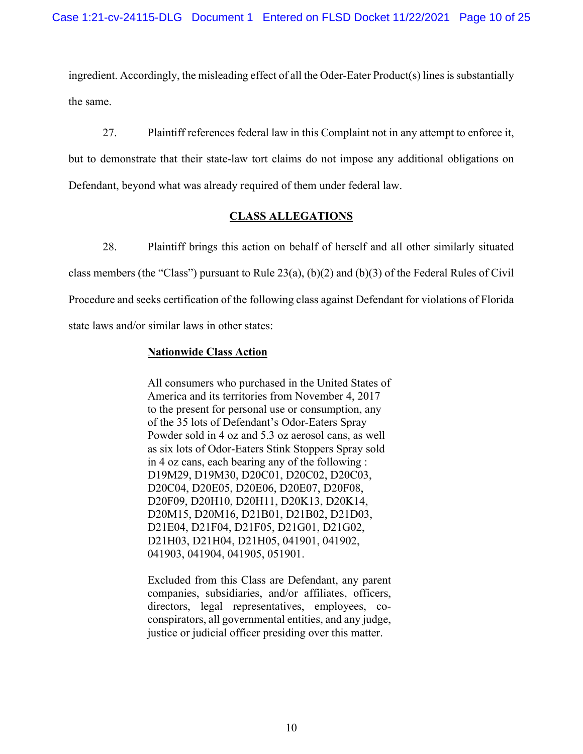ingredient. Accordingly, the misleading effect of all the Oder-Eater Product( $s$ ) lines is substantially the same.

27. Plaintiff references federal law in this Complaint not in any attempt to enforce it, but to demonstrate that their state-law tort claims do not impose any additional obligations on Defendant, beyond what was already required of them under federal law.

## **CLASS ALLEGATIONS**

28. Plaintiff brings this action on behalf of herself and all other similarly situated class members (the "Class") pursuant to Rule 23(a), (b)(2) and (b)(3) of the Federal Rules of Civil Procedure and seeks certification of the following class against Defendant for violations of Florida state laws and/or similar laws in other states:

## **Nationwide Class Action**

All consumers who purchased in the United States of America and its territories from November 4, 2017 to the present for personal use or consumption, any of the 35 lots of Defendant's Odor-Eaters Spray Powder sold in 4 oz and 5.3 oz aerosol cans, as well as six lots of Odor-Eaters Stink Stoppers Spray sold in 4 oz cans, each bearing any of the following : D19M29, D19M30, D20C01, D20C02, D20C03, D20C04, D20E05, D20E06, D20E07, D20F08, D20F09, D20H10, D20H11, D20K13, D20K14, D20M15, D20M16, D21B01, D21B02, D21D03, D21E04, D21F04, D21F05, D21G01, D21G02, D21H03, D21H04, D21H05, 041901, 041902, 041903, 041904, 041905, 051901.

Excluded from this Class are Defendant, any parent companies, subsidiaries, and/or affiliates, officers, directors, legal representatives, employees, coconspirators, all governmental entities, and any judge, justice or judicial officer presiding over this matter.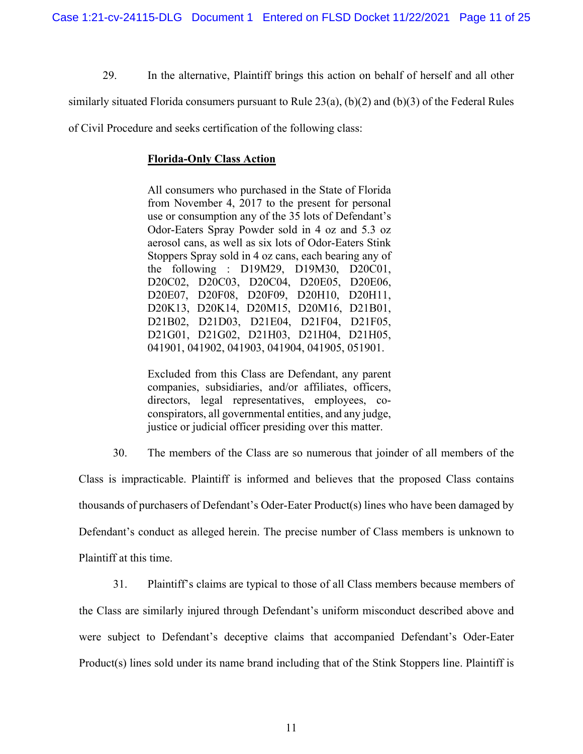29. In the alternative, Plaintiff brings this action on behalf of herself and all other

similarly situated Florida consumers pursuant to Rule 23(a), (b)(2) and (b)(3) of the Federal Rules

of Civil Procedure and seeks certification of the following class:

#### **Florida-Only Class Action**

All consumers who purchased in the State of Florida from November 4, 2017 to the present for personal use or consumption any of the 35 lots of Defendant's Odor-Eaters Spray Powder sold in 4 oz and 5.3 oz aerosol cans, as well as six lots of Odor-Eaters Stink Stoppers Spray sold in 4 oz cans, each bearing any of the following : D19M29, D19M30, D20C01, D20C02, D20C03, D20C04, D20E05, D20E06, D20E07, D20F08, D20F09, D20H10, D20H11, D20K13, D20K14, D20M15, D20M16, D21B01, D21B02, D21D03, D21E04, D21F04, D21F05, D21G01, D21G02, D21H03, D21H04, D21H05, 041901, 041902, 041903, 041904, 041905, 051901.

Excluded from this Class are Defendant, any parent companies, subsidiaries, and/or affiliates, officers, directors, legal representatives, employees, coconspirators, all governmental entities, and any judge, justice or judicial officer presiding over this matter.

30. The members of the Class are so numerous that joinder of all members of the

Class is impracticable. Plaintiff is informed and believes that the proposed Class contains thousands of purchasers of Defendant's Oder-Eater Product(s) lines who have been damaged by Defendant's conduct as alleged herein. The precise number of Class members is unknown to Plaintiff at this time.

31. Plaintiff's claims are typical to those of all Class members because members of the Class are similarly injured through Defendant's uniform misconduct described above and were subject to Defendant's deceptive claims that accompanied Defendant's Oder-Eater Product(s) lines sold under its name brand including that of the Stink Stoppers line. Plaintiff is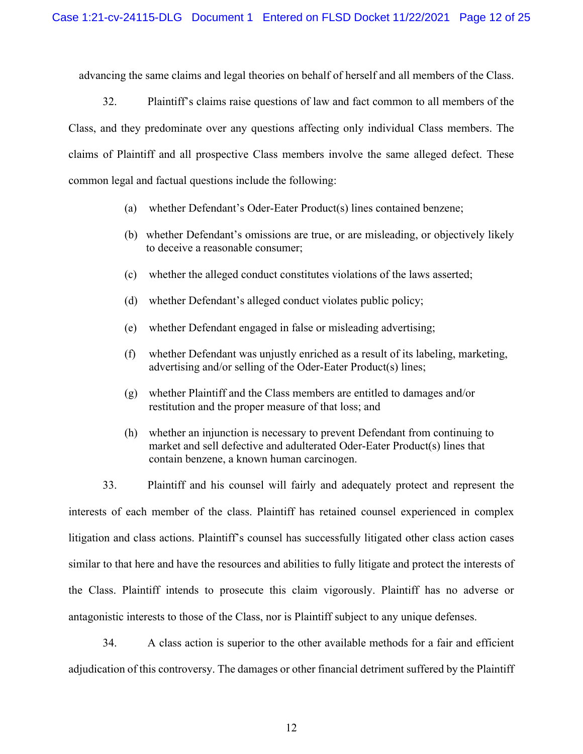advancing the same claims and legal theories on behalf of herself and all members of the Class.

32. Plaintiff's claims raise questions of law and fact common to all members of the Class, and they predominate over any questions affecting only individual Class members. The claims of Plaintiff and all prospective Class members involve the same alleged defect. These common legal and factual questions include the following:

- (a) whether Defendant's Oder-Eater Product(s) lines contained benzene;
- (b) whether Defendant's omissions are true, or are misleading, or objectively likely to deceive a reasonable consumer;
- (c) whether the alleged conduct constitutes violations of the laws asserted;
- (d) whether Defendant's alleged conduct violates public policy;
- (e) whether Defendant engaged in false or misleading advertising;
- (f) whether Defendant was unjustly enriched as a result of its labeling, marketing, advertising and/or selling of the Oder-Eater Product(s) lines;
- (g) whether Plaintiff and the Class members are entitled to damages and/or restitution and the proper measure of that loss; and
- (h) whether an injunction is necessary to prevent Defendant from continuing to market and sell defective and adulterated Oder-Eater Product(s) lines that contain benzene, a known human carcinogen.

33. Plaintiff and his counsel will fairly and adequately protect and represent the interests of each member of the class. Plaintiff has retained counsel experienced in complex litigation and class actions. Plaintiff's counsel has successfully litigated other class action cases similar to that here and have the resources and abilities to fully litigate and protect the interests of the Class. Plaintiff intends to prosecute this claim vigorously. Plaintiff has no adverse or antagonistic interests to those of the Class, nor is Plaintiff subject to any unique defenses.

34. A class action is superior to the other available methods for a fair and efficient adjudication of this controversy. The damages or other financial detriment suffered by the Plaintiff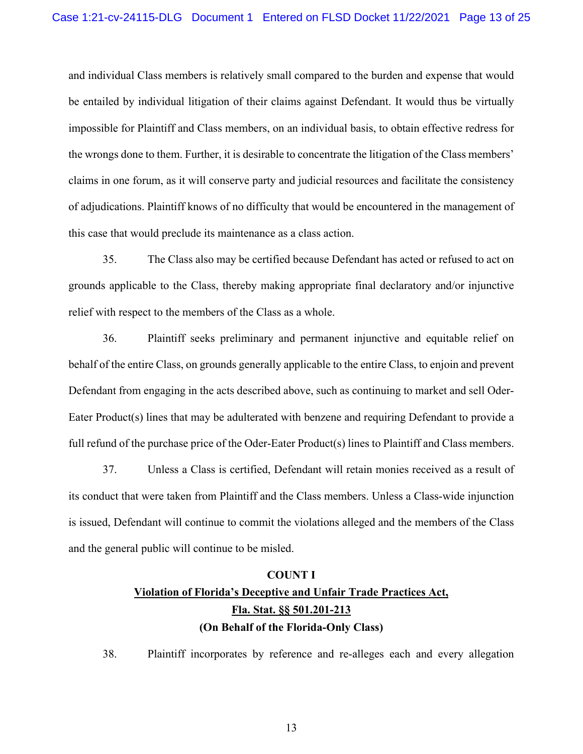and individual Class members is relatively small compared to the burden and expense that would be entailed by individual litigation of their claims against Defendant. It would thus be virtually impossible for Plaintiff and Class members, on an individual basis, to obtain effective redress for the wrongs done to them. Further, it is desirable to concentrate the litigation of the Class members' claims in one forum, as it will conserve party and judicial resources and facilitate the consistency of adjudications. Plaintiff knows of no difficulty that would be encountered in the management of this case that would preclude its maintenance as a class action.

35. The Class also may be certified because Defendant has acted or refused to act on grounds applicable to the Class, thereby making appropriate final declaratory and/or injunctive relief with respect to the members of the Class as a whole.

36. Plaintiff seeks preliminary and permanent injunctive and equitable relief on behalf of the entire Class, on grounds generally applicable to the entire Class, to enjoin and prevent Defendant from engaging in the acts described above, such as continuing to market and sell Oder-Eater Product(s) lines that may be adulterated with benzene and requiring Defendant to provide a full refund of the purchase price of the Oder-Eater Product(s) lines to Plaintiff and Class members.

37. Unless a Class is certified, Defendant will retain monies received as a result of its conduct that were taken from Plaintiff and the Class members. Unless a Class-wide injunction is issued, Defendant will continue to commit the violations alleged and the members of the Class and the general public will continue to be misled.

#### **COUNT I**

## **Violation of Florida's Deceptive and Unfair Trade Practices Act, Fla. Stat. §§ 501.201-213 (On Behalf of the Florida-Only Class)**

38. Plaintiff incorporates by reference and re-alleges each and every allegation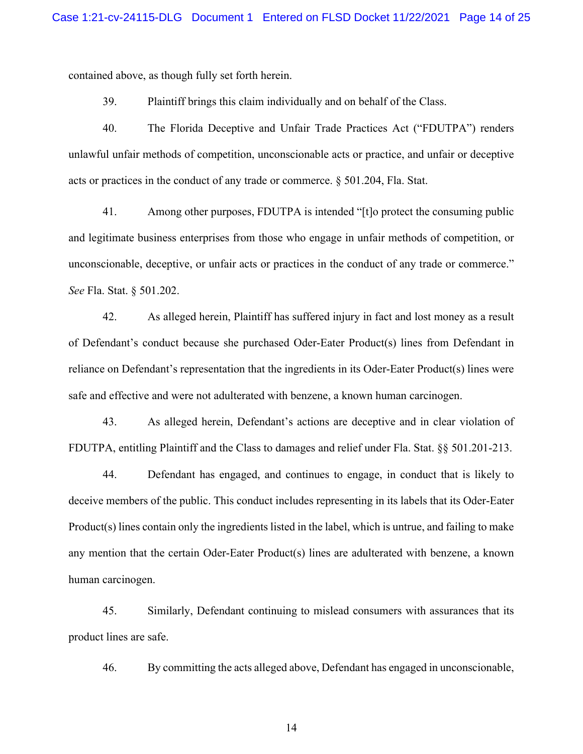contained above, as though fully set forth herein.

39. Plaintiff brings this claim individually and on behalf of the Class.

40. The Florida Deceptive and Unfair Trade Practices Act ("FDUTPA") renders unlawful unfair methods of competition, unconscionable acts or practice, and unfair or deceptive acts or practices in the conduct of any trade or commerce. § 501.204, Fla. Stat.

41. Among other purposes, FDUTPA is intended "[t]o protect the consuming public and legitimate business enterprises from those who engage in unfair methods of competition, or unconscionable, deceptive, or unfair acts or practices in the conduct of any trade or commerce." *See* Fla. Stat. § 501.202.

42. As alleged herein, Plaintiff has suffered injury in fact and lost money as a result of Defendant's conduct because she purchased Oder-Eater Product(s) lines from Defendant in reliance on Defendant's representation that the ingredients in its Oder-Eater Product(s) lines were safe and effective and were not adulterated with benzene, a known human carcinogen.

43. As alleged herein, Defendant's actions are deceptive and in clear violation of FDUTPA, entitling Plaintiff and the Class to damages and relief under Fla. Stat. §§ 501.201-213.

44. Defendant has engaged, and continues to engage, in conduct that is likely to deceive members of the public. This conduct includes representing in its labels that its Oder-Eater Product(s) lines contain only the ingredients listed in the label, which is untrue, and failing to make any mention that the certain Oder-Eater Product(s) lines are adulterated with benzene, a known human carcinogen.

45. Similarly, Defendant continuing to mislead consumers with assurances that its product lines are safe.

46. By committing the acts alleged above, Defendant has engaged in unconscionable,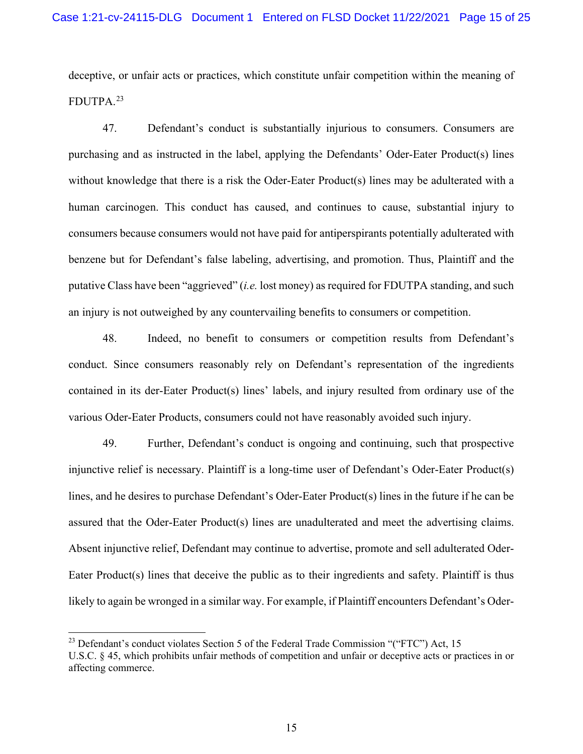deceptive, or unfair acts or practices, which constitute unfair competition within the meaning of FDUTPA.[23](#page-14-0)

47. Defendant's conduct is substantially injurious to consumers. Consumers are purchasing and as instructed in the label, applying the Defendants' Oder-Eater Product(s) lines without knowledge that there is a risk the Oder-Eater Product(s) lines may be adulterated with a human carcinogen. This conduct has caused, and continues to cause, substantial injury to consumers because consumers would not have paid for antiperspirants potentially adulterated with benzene but for Defendant's false labeling, advertising, and promotion. Thus, Plaintiff and the putative Class have been "aggrieved" (*i.e.* lost money) as required for FDUTPA standing, and such an injury is not outweighed by any countervailing benefits to consumers or competition.

48. Indeed, no benefit to consumers or competition results from Defendant's conduct. Since consumers reasonably rely on Defendant's representation of the ingredients contained in its der-Eater Product(s) lines' labels, and injury resulted from ordinary use of the various Oder-Eater Products, consumers could not have reasonably avoided such injury.

49. Further, Defendant's conduct is ongoing and continuing, such that prospective injunctive relief is necessary. Plaintiff is a long-time user of Defendant's Oder-Eater Product(s) lines, and he desires to purchase Defendant's Oder-Eater Product(s) lines in the future if he can be assured that the Oder-Eater Product(s) lines are unadulterated and meet the advertising claims. Absent injunctive relief, Defendant may continue to advertise, promote and sell adulterated Oder-Eater Product(s) lines that deceive the public as to their ingredients and safety. Plaintiff is thus likely to again be wronged in a similar way. For example, if Plaintiff encounters Defendant's Oder-

<span id="page-14-0"></span><sup>&</sup>lt;sup>23</sup> Defendant's conduct violates Section 5 of the Federal Trade Commission "("FTC") Act, 15

U.S.C. § 45, which prohibits unfair methods of competition and unfair or deceptive acts or practices in or affecting commerce.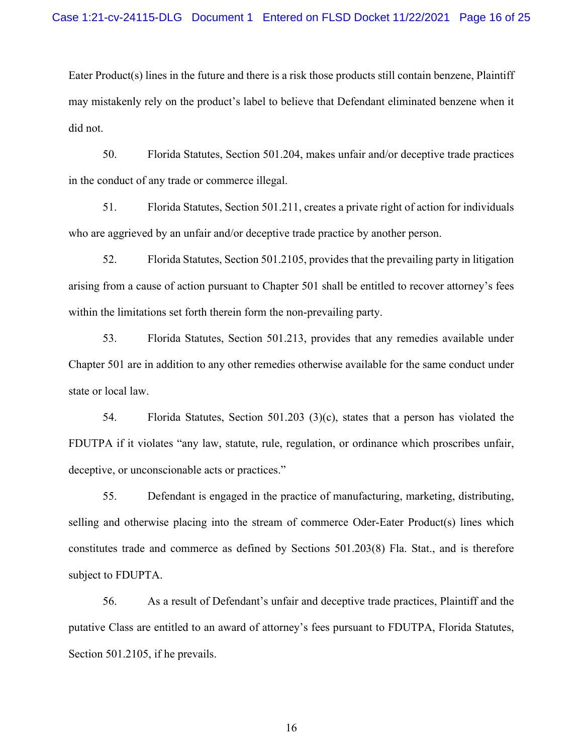Eater Product(s) lines in the future and there is a risk those products still contain benzene, Plaintiff may mistakenly rely on the product's label to believe that Defendant eliminated benzene when it did not.

50. Florida Statutes, Section 501.204, makes unfair and/or deceptive trade practices in the conduct of any trade or commerce illegal.

51. Florida Statutes, Section 501.211, creates a private right of action for individuals who are aggrieved by an unfair and/or deceptive trade practice by another person.

52. Florida Statutes, Section 501.2105, provides that the prevailing party in litigation arising from a cause of action pursuant to Chapter 501 shall be entitled to recover attorney's fees within the limitations set forth therein form the non-prevailing party.

53. Florida Statutes, Section 501.213, provides that any remedies available under Chapter 501 are in addition to any other remedies otherwise available for the same conduct under state or local law.

54. Florida Statutes, Section 501.203 (3)(c), states that a person has violated the FDUTPA if it violates "any law, statute, rule, regulation, or ordinance which proscribes unfair, deceptive, or unconscionable acts or practices."

55. Defendant is engaged in the practice of manufacturing, marketing, distributing, selling and otherwise placing into the stream of commerce Oder-Eater Product(s) lines which constitutes trade and commerce as defined by Sections 501.203(8) Fla. Stat., and is therefore subject to FDUPTA.

56. As a result of Defendant's unfair and deceptive trade practices, Plaintiff and the putative Class are entitled to an award of attorney's fees pursuant to FDUTPA, Florida Statutes, Section 501.2105, if he prevails.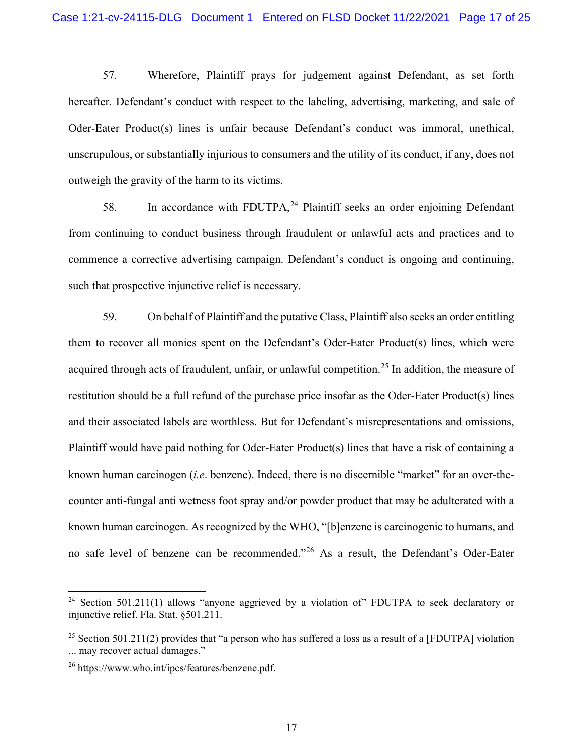57. Wherefore, Plaintiff prays for judgement against Defendant, as set forth hereafter. Defendant's conduct with respect to the labeling, advertising, marketing, and sale of Oder-Eater Product(s) lines is unfair because Defendant's conduct was immoral, unethical, unscrupulous, or substantially injurious to consumers and the utility of its conduct, if any, does not outweigh the gravity of the harm to its victims.

58. In accordance with FDUTPA,<sup>[24](#page-16-0)</sup> Plaintiff seeks an order enjoining Defendant from continuing to conduct business through fraudulent or unlawful acts and practices and to commence a corrective advertising campaign. Defendant's conduct is ongoing and continuing, such that prospective injunctive relief is necessary.

59. On behalf of Plaintiff and the putative Class, Plaintiff also seeks an order entitling them to recover all monies spent on the Defendant's Oder-Eater Product(s) lines, which were acquired through acts of fraudulent, unfair, or unlawful competition.<sup>[25](#page-16-1)</sup> In addition, the measure of restitution should be a full refund of the purchase price insofar as the Oder-Eater Product(s) lines and their associated labels are worthless. But for Defendant's misrepresentations and omissions, Plaintiff would have paid nothing for Oder-Eater Product(s) lines that have a risk of containing a known human carcinogen (*i.e*. benzene). Indeed, there is no discernible "market" for an over-thecounter anti-fungal anti wetness foot spray and/or powder product that may be adulterated with a known human carcinogen. As recognized by the WHO, "[b]enzene is carcinogenic to humans, and no safe level of benzene can be recommended."[26](#page-16-2) As a result, the Defendant's Oder-Eater

<span id="page-16-0"></span><sup>&</sup>lt;sup>24</sup> Section 501.211(1) allows "anyone aggrieved by a violation of" FDUTPA to seek declaratory or injunctive relief. Fla. Stat. §501.211.

<span id="page-16-1"></span><sup>&</sup>lt;sup>25</sup> Section 501.211(2) provides that "a person who has suffered a loss as a result of a [FDUTPA] violation ... may recover actual damages."

<span id="page-16-2"></span><sup>26</sup> https:[//www.who.int/ipcs/features/benzene.pdf.](http://www.who.int/ipcs/features/benzene.pdf)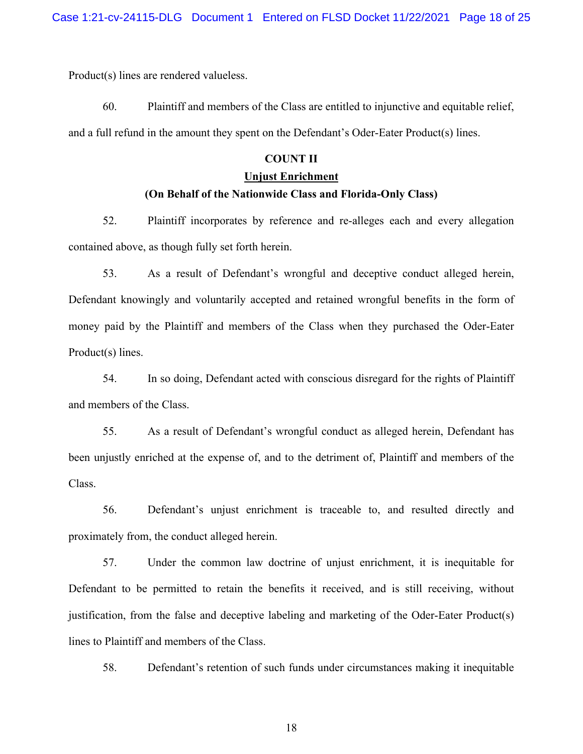Product(s) lines are rendered valueless.

60. Plaintiff and members of the Class are entitled to injunctive and equitable relief, and a full refund in the amount they spent on the Defendant's Oder-Eater Product(s) lines.

## **COUNT II**

#### **Unjust Enrichment**

## **(On Behalf of the Nationwide Class and Florida-Only Class)**

52. Plaintiff incorporates by reference and re-alleges each and every allegation contained above, as though fully set forth herein.

53. As a result of Defendant's wrongful and deceptive conduct alleged herein, Defendant knowingly and voluntarily accepted and retained wrongful benefits in the form of money paid by the Plaintiff and members of the Class when they purchased the Oder-Eater Product(s) lines.

54. In so doing, Defendant acted with conscious disregard for the rights of Plaintiff and members of the Class.

55. As a result of Defendant's wrongful conduct as alleged herein, Defendant has been unjustly enriched at the expense of, and to the detriment of, Plaintiff and members of the Class.

56. Defendant's unjust enrichment is traceable to, and resulted directly and proximately from, the conduct alleged herein.

57. Under the common law doctrine of unjust enrichment, it is inequitable for Defendant to be permitted to retain the benefits it received, and is still receiving, without justification, from the false and deceptive labeling and marketing of the Oder-Eater Product(s) lines to Plaintiff and members of the Class.

58. Defendant's retention of such funds under circumstances making it inequitable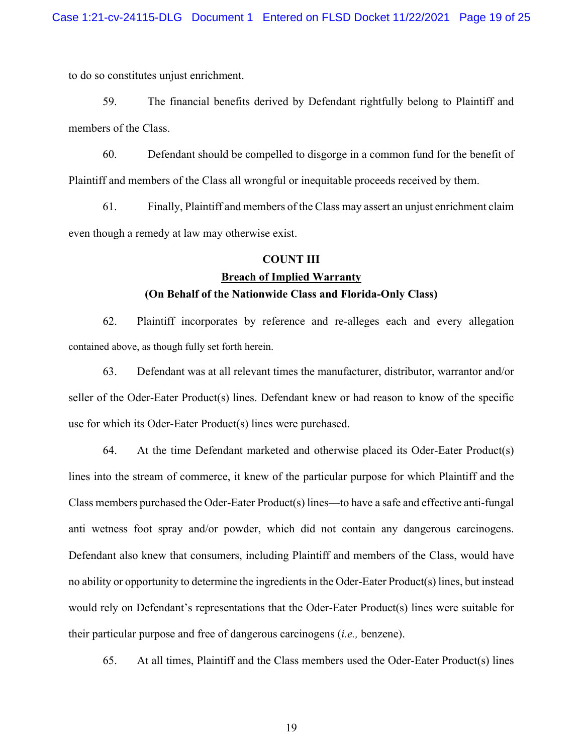to do so constitutes unjust enrichment.

59. The financial benefits derived by Defendant rightfully belong to Plaintiff and members of the Class.

60. Defendant should be compelled to disgorge in a common fund for the benefit of Plaintiff and members of the Class all wrongful or inequitable proceeds received by them.

61. Finally, Plaintiff and members of the Class may assert an unjust enrichment claim even though a remedy at law may otherwise exist.

#### **COUNT III**

## **Breach of Implied Warranty**

### **(On Behalf of the Nationwide Class and Florida-Only Class)**

62. Plaintiff incorporates by reference and re-alleges each and every allegation contained above, as though fully set forth herein.

63. Defendant was at all relevant times the manufacturer, distributor, warrantor and/or seller of the Oder-Eater Product(s) lines. Defendant knew or had reason to know of the specific use for which its Oder-Eater Product(s) lines were purchased.

64. At the time Defendant marketed and otherwise placed its Oder-Eater Product(s) lines into the stream of commerce, it knew of the particular purpose for which Plaintiff and the Class members purchased the Oder-Eater Product(s) lines—to have a safe and effective anti-fungal anti wetness foot spray and/or powder, which did not contain any dangerous carcinogens. Defendant also knew that consumers, including Plaintiff and members of the Class, would have no ability or opportunity to determine the ingredients in the Oder-Eater Product(s) lines, but instead would rely on Defendant's representations that the Oder-Eater Product(s) lines were suitable for their particular purpose and free of dangerous carcinogens (*i.e.,* benzene).

65. At all times, Plaintiff and the Class members used the Oder-Eater Product(s) lines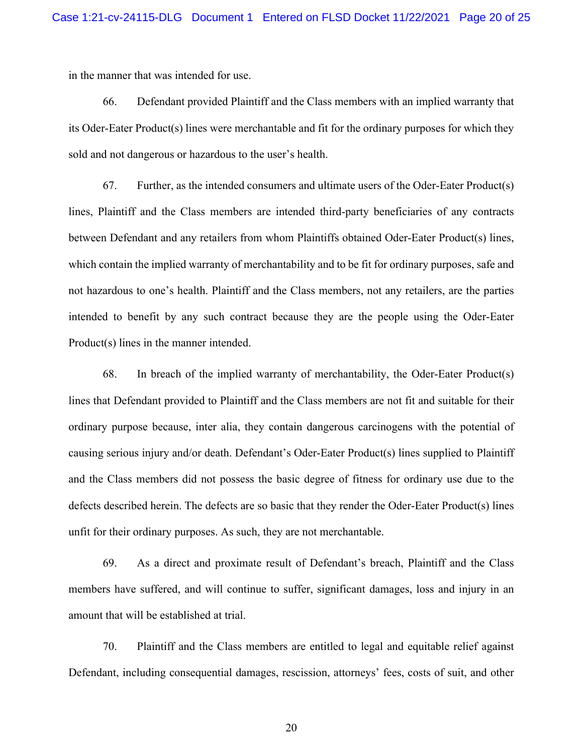in the manner that was intended for use.

66. Defendant provided Plaintiff and the Class members with an implied warranty that its Oder-Eater Product(s) lines were merchantable and fit for the ordinary purposes for which they sold and not dangerous or hazardous to the user's health.

67. Further, as the intended consumers and ultimate users of the Oder-Eater Product(s) lines, Plaintiff and the Class members are intended third-party beneficiaries of any contracts between Defendant and any retailers from whom Plaintiffs obtained Oder-Eater Product(s) lines, which contain the implied warranty of merchantability and to be fit for ordinary purposes, safe and not hazardous to one's health. Plaintiff and the Class members, not any retailers, are the parties intended to benefit by any such contract because they are the people using the Oder-Eater Product(s) lines in the manner intended.

68. In breach of the implied warranty of merchantability, the Oder-Eater Product(s) lines that Defendant provided to Plaintiff and the Class members are not fit and suitable for their ordinary purpose because, inter alia, they contain dangerous carcinogens with the potential of causing serious injury and/or death. Defendant's Oder-Eater Product(s) lines supplied to Plaintiff and the Class members did not possess the basic degree of fitness for ordinary use due to the defects described herein. The defects are so basic that they render the Oder-Eater Product(s) lines unfit for their ordinary purposes. As such, they are not merchantable.

69. As a direct and proximate result of Defendant's breach, Plaintiff and the Class members have suffered, and will continue to suffer, significant damages, loss and injury in an amount that will be established at trial.

70. Plaintiff and the Class members are entitled to legal and equitable relief against Defendant, including consequential damages, rescission, attorneys' fees, costs of suit, and other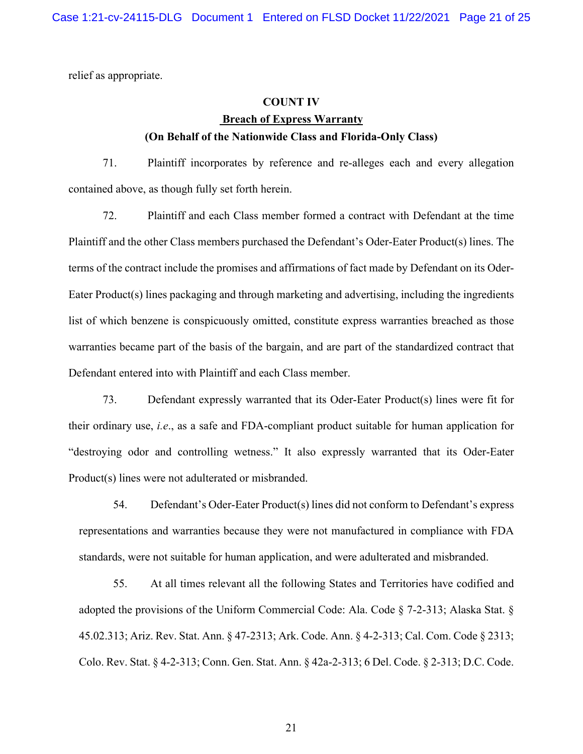relief as appropriate.

#### **COUNT IV**

## **Breach of Express Warranty (On Behalf of the Nationwide Class and Florida-Only Class)**

71. Plaintiff incorporates by reference and re-alleges each and every allegation contained above, as though fully set forth herein.

72. Plaintiff and each Class member formed a contract with Defendant at the time Plaintiff and the other Class members purchased the Defendant's Oder-Eater Product(s) lines. The terms of the contract include the promises and affirmations of fact made by Defendant on its Oder-Eater Product(s) lines packaging and through marketing and advertising, including the ingredients list of which benzene is conspicuously omitted, constitute express warranties breached as those warranties became part of the basis of the bargain, and are part of the standardized contract that Defendant entered into with Plaintiff and each Class member.

73. Defendant expressly warranted that its Oder-Eater Product(s) lines were fit for their ordinary use, *i.e*., as a safe and FDA-compliant product suitable for human application for "destroying odor and controlling wetness." It also expressly warranted that its Oder-Eater Product(s) lines were not adulterated or misbranded.

54. Defendant's Oder-Eater Product(s) lines did not conform to Defendant's express representations and warranties because they were not manufactured in compliance with FDA standards, were not suitable for human application, and were adulterated and misbranded.

55. At all times relevant all the following States and Territories have codified and adopted the provisions of the Uniform Commercial Code: Ala. Code § 7-2-313; Alaska Stat. § 45.02.313; Ariz. Rev. Stat. Ann. § 47-2313; Ark. Code. Ann. § 4-2-313; Cal. Com. Code § 2313; Colo. Rev. Stat. § 4-2-313; Conn. Gen. Stat. Ann. § 42a-2-313; 6 Del. Code. § 2-313; D.C. Code.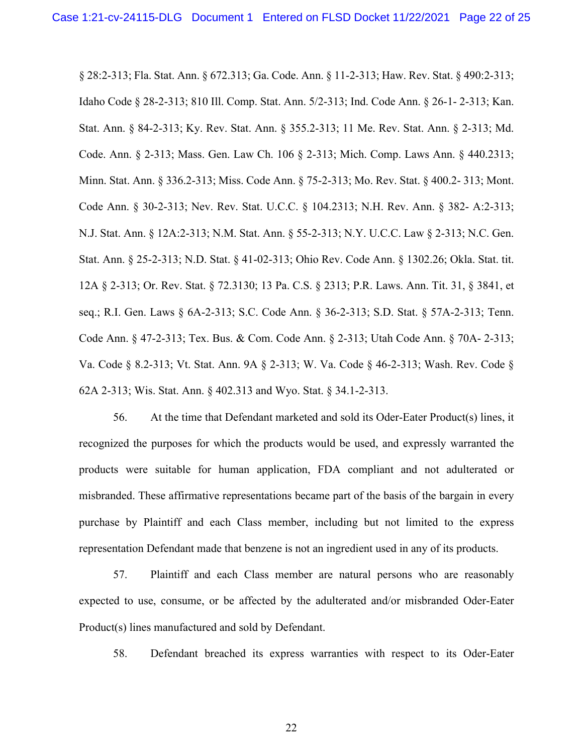§ 28:2-313; Fla. Stat. Ann. § 672.313; Ga. Code. Ann. § 11-2-313; Haw. Rev. Stat. § 490:2-313; Idaho Code § 28-2-313; 810 Ill. Comp. Stat. Ann. 5/2-313; Ind. Code Ann. § 26-1- 2-313; Kan. Stat. Ann. § 84-2-313; Ky. Rev. Stat. Ann. § 355.2-313; 11 Me. Rev. Stat. Ann. § 2-313; Md. Code. Ann. § 2-313; Mass. Gen. Law Ch. 106 § 2-313; Mich. Comp. Laws Ann. § 440.2313; Minn. Stat. Ann. § 336.2-313; Miss. Code Ann. § 75-2-313; Mo. Rev. Stat. § 400.2- 313; Mont. Code Ann. § 30-2-313; Nev. Rev. Stat. U.C.C. § 104.2313; N.H. Rev. Ann. § 382- A:2-313; N.J. Stat. Ann. § 12A:2-313; N.M. Stat. Ann. § 55-2-313; N.Y. U.C.C. Law § 2-313; N.C. Gen. Stat. Ann. § 25-2-313; N.D. Stat. § 41-02-313; Ohio Rev. Code Ann. § 1302.26; Okla. Stat. tit. 12A § 2-313; Or. Rev. Stat. § 72.3130; 13 Pa. C.S. § 2313; P.R. Laws. Ann. Tit. 31, § 3841, et seq.; R.I. Gen. Laws § 6A-2-313; S.C. Code Ann. § 36-2-313; S.D. Stat. § 57A-2-313; Tenn. Code Ann. § 47-2-313; Tex. Bus. & Com. Code Ann. § 2-313; Utah Code Ann. § 70A- 2-313; Va. Code § 8.2-313; Vt. Stat. Ann. 9A § 2-313; W. Va. Code § 46-2-313; Wash. Rev. Code § 62A 2-313; Wis. Stat. Ann. § 402.313 and Wyo. Stat. § 34.1-2-313.

56. At the time that Defendant marketed and sold its Oder-Eater Product(s) lines, it recognized the purposes for which the products would be used, and expressly warranted the products were suitable for human application, FDA compliant and not adulterated or misbranded. These affirmative representations became part of the basis of the bargain in every purchase by Plaintiff and each Class member, including but not limited to the express representation Defendant made that benzene is not an ingredient used in any of its products.

57. Plaintiff and each Class member are natural persons who are reasonably expected to use, consume, or be affected by the adulterated and/or misbranded Oder-Eater Product(s) lines manufactured and sold by Defendant.

58. Defendant breached its express warranties with respect to its Oder-Eater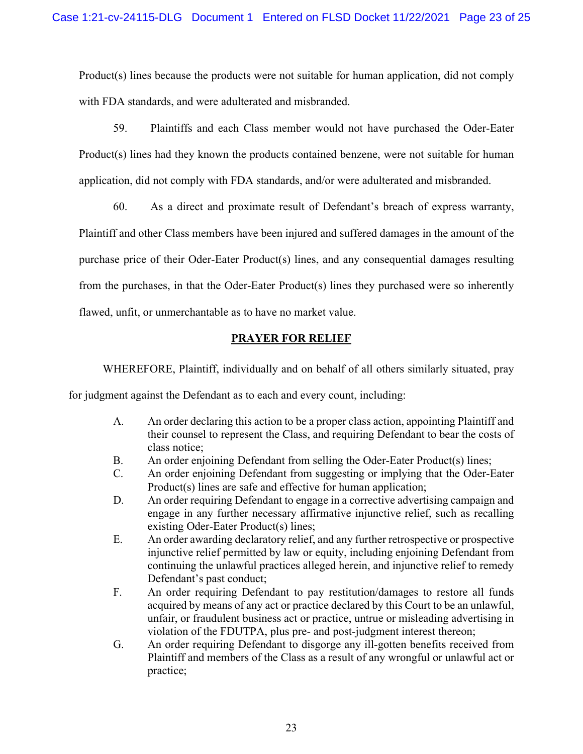Product(s) lines because the products were not suitable for human application, did not comply with FDA standards, and were adulterated and misbranded.

59. Plaintiffs and each Class member would not have purchased the Oder-Eater Product(s) lines had they known the products contained benzene, were not suitable for human application, did not comply with FDA standards, and/or were adulterated and misbranded.

60. As a direct and proximate result of Defendant's breach of express warranty,

Plaintiff and other Class members have been injured and suffered damages in the amount of the purchase price of their Oder-Eater Product(s) lines, and any consequential damages resulting from the purchases, in that the Oder-Eater Product(s) lines they purchased were so inherently flawed, unfit, or unmerchantable as to have no market value.

## **PRAYER FOR RELIEF**

WHEREFORE, Plaintiff, individually and on behalf of all others similarly situated, pray

for judgment against the Defendant as to each and every count, including:

- A. An order declaring this action to be a proper class action, appointing Plaintiff and their counsel to represent the Class, and requiring Defendant to bear the costs of class notice;
- B. An order enjoining Defendant from selling the Oder-Eater Product(s) lines;
- C. An order enjoining Defendant from suggesting or implying that the Oder-Eater Product(s) lines are safe and effective for human application;
- D. An order requiring Defendant to engage in a corrective advertising campaign and engage in any further necessary affirmative injunctive relief, such as recalling existing Oder-Eater Product(s) lines;
- E. An order awarding declaratory relief, and any further retrospective or prospective injunctive relief permitted by law or equity, including enjoining Defendant from continuing the unlawful practices alleged herein, and injunctive relief to remedy Defendant's past conduct;
- F. An order requiring Defendant to pay restitution/damages to restore all funds acquired by means of any act or practice declared by this Court to be an unlawful, unfair, or fraudulent business act or practice, untrue or misleading advertising in violation of the FDUTPA, plus pre- and post-judgment interest thereon;
- G. An order requiring Defendant to disgorge any ill-gotten benefits received from Plaintiff and members of the Class as a result of any wrongful or unlawful act or practice;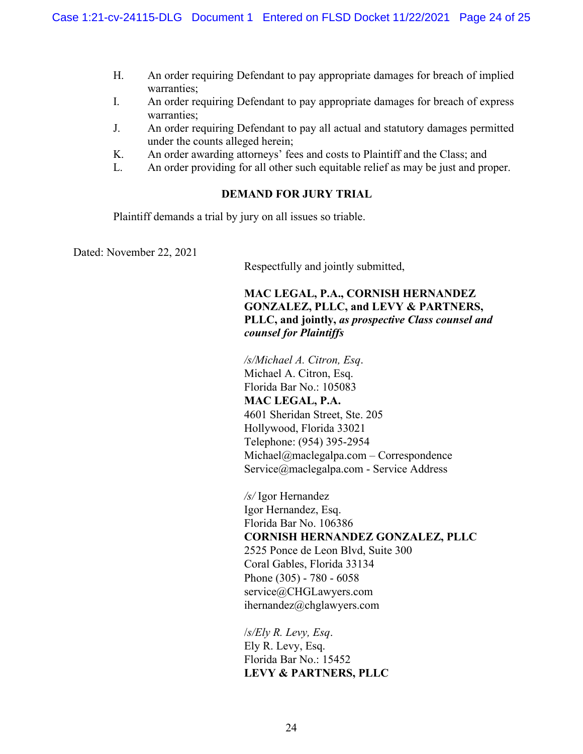- H. An order requiring Defendant to pay appropriate damages for breach of implied warranties;
- I. An order requiring Defendant to pay appropriate damages for breach of express warranties;
- J. An order requiring Defendant to pay all actual and statutory damages permitted under the counts alleged herein;
- K. An order awarding attorneys' fees and costs to Plaintiff and the Class; and
- L. An order providing for all other such equitable relief as may be just and proper.

## **DEMAND FOR JURY TRIAL**

Plaintiff demands a trial by jury on all issues so triable.

Dated: November 22, 2021

Respectfully and jointly submitted,

## **MAC LEGAL, P.A., CORNISH HERNANDEZ GONZALEZ, PLLC, and LEVY & PARTNERS, PLLC, and jointly,** *as prospective Class counsel and counsel for Plaintiffs*

*/s/Michael A. Citron, Esq*. Michael A. Citron, Esq. Florida Bar No.: 105083 **MAC LEGAL, P.A.**  4601 Sheridan Street, Ste. 205 Hollywood, Florida 33021 Telephone: (954) 395-2954 Michael@maclegalpa.com – Correspondence Service@maclegalpa.com - Service Address

*/s/* Igor Hernandez Igor Hernandez, Esq. Florida Bar No. 106386 **CORNISH HERNANDEZ GONZALEZ, PLLC**  2525 Ponce de Leon Blvd, Suite 300 Coral Gables, Florida 33134 Phone (305) - 780 - 6058 service@CHGLawyers.com ihernandez@chglawyers.com

/*s/Ely R. Levy, Esq*. Ely R. Levy, Esq. Florida Bar No.: 15452 **LEVY & PARTNERS, PLLC**